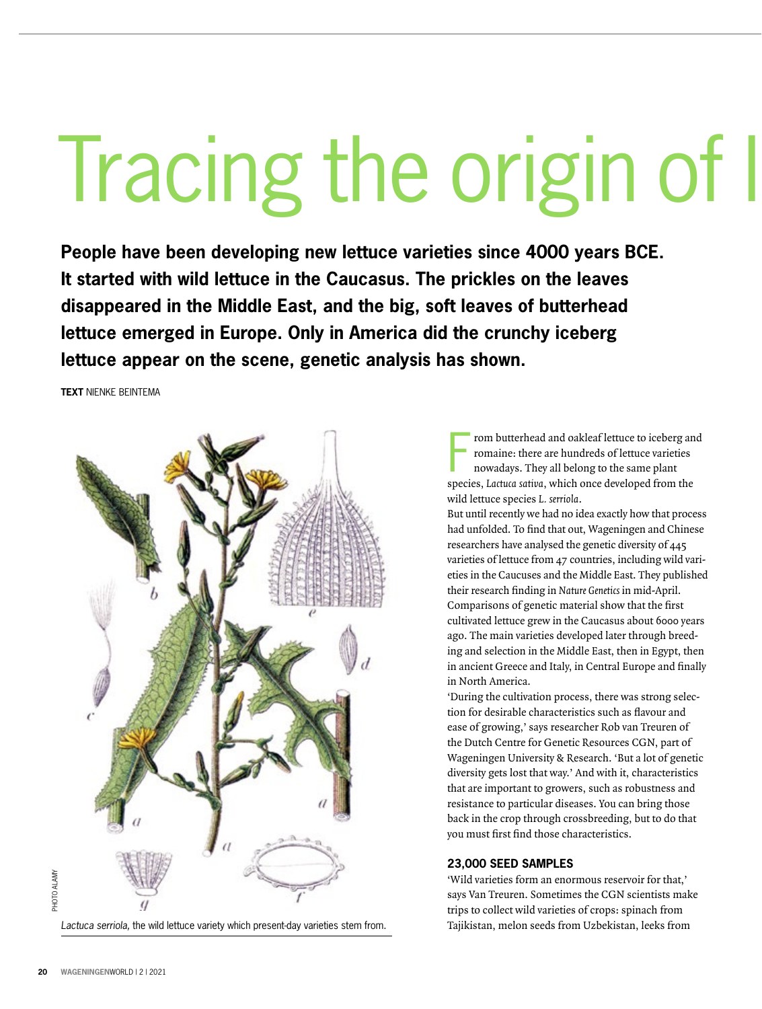# Tracing the origin of I

**People have been developing new lettuce varieties since 4000 years BCE. It started with wild lettuce in the Caucasus. The prickles on the leaves disappeared in the Middle East, and the big, soft leaves of butterhead lettuce emerged in Europe. Only in America did the crunchy iceberg lettuce appear on the scene, genetic analysis has shown.** 

**TEXT** NIENKE BEINTEMA



*Lactuca serriola,* the wild lettuce variety which present-day varieties stem from.

From butterhead and oakleaf lettuce to iceberg an romaine: there are hundreds of lettuce varieties nowadays. They all belong to the same plant species, Lactuca sativa, which once developed from the rom butterhead and oakleaf lettuce to iceberg and romaine: there are hundreds of lettuce varieties nowadays. They all belong to the same plant wild lettuce species L. serriola.

But until recently we had no idea exactly how that process had unfolded. To find that out, Wageningen and Chinese researchers have analysed the genetic diversity of 445 varieties of lettuce from 47 countries, including wild varieties in the Caucuses and the Middle East. They published their research finding in Nature Genetics in mid-April. Comparisons of genetic material show that the first cultivated lettuce grew in the Caucasus about 6000 years ago. The main varieties developed later through breeding and selection in the Middle East, then in Egypt, then in ancient Greece and Italy, in Central Europe and finally in North America.

'During the cultivation process, there was strong selection for desirable characteristics such as flavour and ease of growing,' says researcher Rob van Treuren of the Dutch Centre for Genetic Resources CGN, part of Wageningen University & Research. 'But a lot of genetic diversity gets lost that way.' And with it, characteristics that are important to growers, such as robustness and resistance to particular diseases. You can bring those back in the crop through crossbreeding, but to do that you must first find those characteristics.

## **23,000 SEED SAMPLES**

'Wild varieties form an enormous reservoir for that,' says Van Treuren. Sometimes the CGN scientists make trips to collect wild varieties of crops: spinach from Tajikistan, melon seeds from Uzbekistan, leeks from

**HOTO ALAMY** PHOTO ALAMY